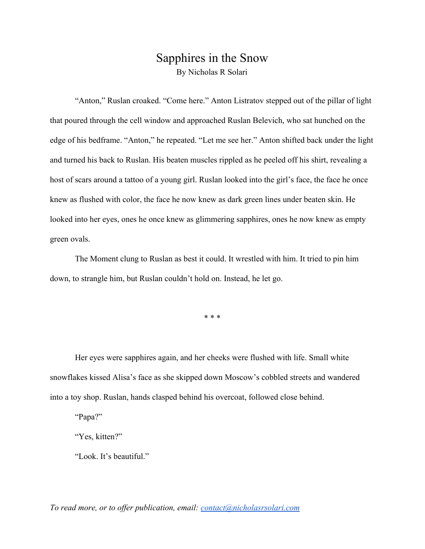## Sapphires in the Snow By Nicholas R Solari

"Anton," Ruslan croaked. "Come here." Anton Listratov stepped out of the pillar of light that poured through the cell window and approached Ruslan Belevich, who sat hunched on the edge of his bedframe. "Anton," he repeated. "Let me see her." Anton shifted back under the light and turned his back to Ruslan. His beaten muscles rippled as he peeled off his shirt, revealing a host of scars around a tattoo of a young girl. Ruslan looked into the girl's face, the face he once knew as flushed with color, the face he now knew as dark green lines under beaten skin. He looked into her eyes, ones he once knew as glimmering sapphires, ones he now knew as empty green ovals.

The Moment clung to Ruslan as best it could. It wrestled with him. It tried to pin him down, to strangle him, but Ruslan couldn't hold on. Instead, he let go.

\* \* \*

Her eyes were sapphires again, and her cheeks were flushed with life. Small white snowflakes kissed Alisa's face as she skipped down Moscow's cobbled streets and wandered into a toy shop. Ruslan, hands clasped behind his overcoat, followed close behind.

"Papa?"

"Yes, kitten?"

"Look. It's beautiful."

*To read more, or to offer publication, email: [contact@nicholasrsolari.com](mailto:contact@nicholasrsolari.com)*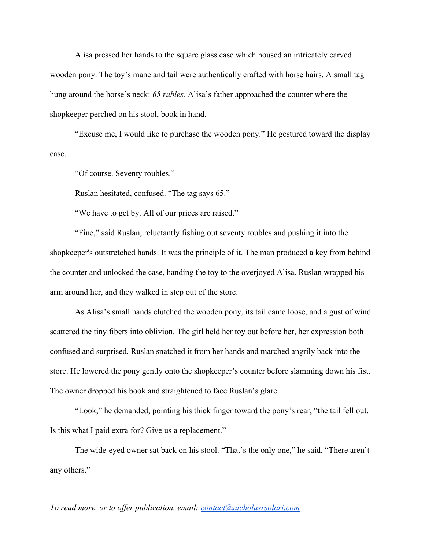Alisa pressed her hands to the square glass case which housed an intricately carved wooden pony. The toy's mane and tail were authentically crafted with horse hairs. A small tag hung around the horse's neck: *65 rubles.* Alisa's father approached the counter where the shopkeeper perched on his stool, book in hand.

"Excuse me, I would like to purchase the wooden pony." He gestured toward the display case.

"Of course. Seventy roubles."

Ruslan hesitated, confused. "The tag says 65."

"We have to get by. All of our prices are raised."

"Fine," said Ruslan, reluctantly fishing out seventy roubles and pushing it into the shopkeeper's outstretched hands. It was the principle of it. The man produced a key from behind the counter and unlocked the case, handing the toy to the overjoyed Alisa. Ruslan wrapped his arm around her, and they walked in step out of the store.

As Alisa's small hands clutched the wooden pony, its tail came loose, and a gust of wind scattered the tiny fibers into oblivion. The girl held her toy out before her, her expression both confused and surprised. Ruslan snatched it from her hands and marched angrily back into the store. He lowered the pony gently onto the shopkeeper's counter before slamming down his fist. The owner dropped his book and straightened to face Ruslan's glare.

"Look," he demanded, pointing his thick finger toward the pony's rear, "the tail fell out. Is this what I paid extra for? Give us a replacement."

The wide-eyed owner sat back on his stool. "That's the only one," he said. "There aren't any others."

*To read more, or to offer publication, email: [contact@nicholasrsolari.com](mailto:contact@nicholasrsolari.com)*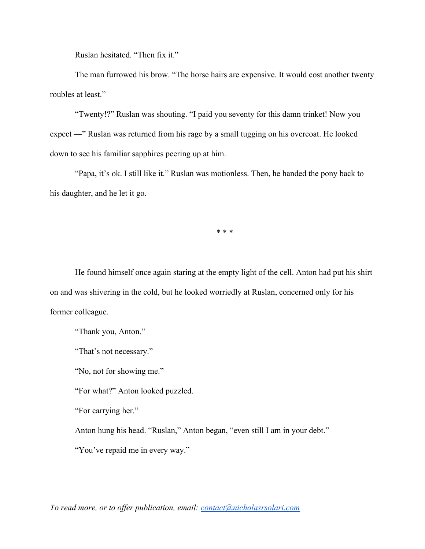Ruslan hesitated. "Then fix it."

The man furrowed his brow. "The horse hairs are expensive. It would cost another twenty roubles at least."

"Twenty!?" Ruslan was shouting. "I paid you seventy for this damn trinket! Now you expect —" Ruslan was returned from his rage by a small tugging on his overcoat. He looked down to see his familiar sapphires peering up at him.

"Papa, it's ok. I still like it." Ruslan was motionless. Then, he handed the pony back to his daughter, and he let it go.

\* \* \*

He found himself once again staring at the empty light of the cell. Anton had put his shirt on and was shivering in the cold, but he looked worriedly at Ruslan, concerned only for his former colleague.

"Thank you, Anton."

"That's not necessary."

"No, not for showing me."

"For what?" Anton looked puzzled.

"For carrying her."

Anton hung his head. "Ruslan," Anton began, "even still I am in your debt."

"You've repaid me in every way."

*To read more, or to offer publication, email: [contact@nicholasrsolari.com](mailto:contact@nicholasrsolari.com)*